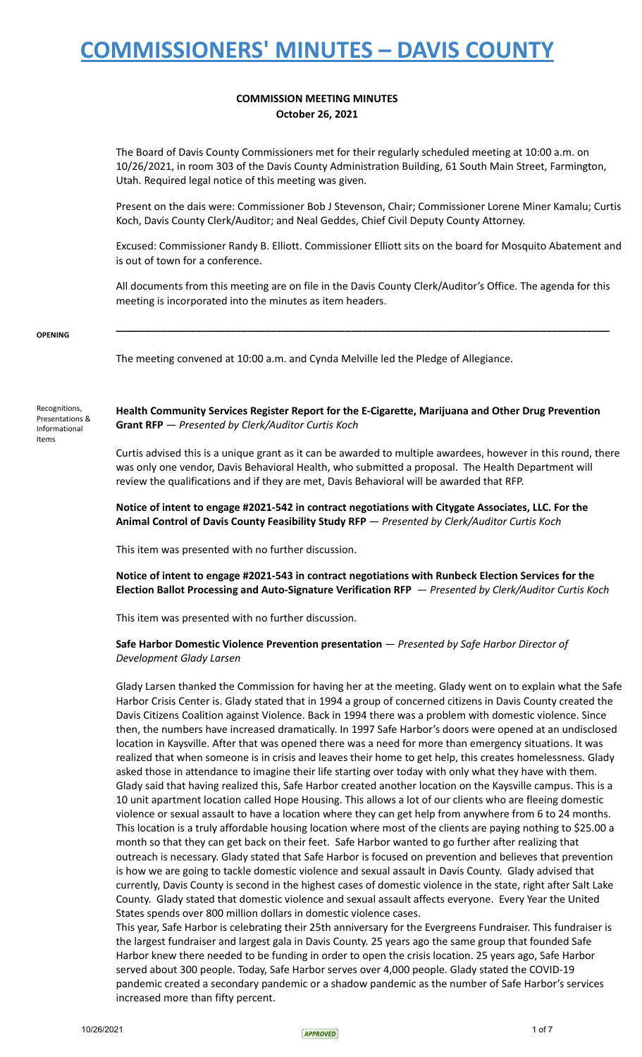## **COMMISSION MEETING MINUTES October 26, 2021**

The Board of Davis County Commissioners met for their regularly scheduled meeting at 10:00 a.m. on 10/26/2021, in room 303 of the Davis County Administration Building, 61 South Main Street, Farmington, Utah. Required legal notice of this meeting was given.

Present on the dais were: Commissioner Bob J Stevenson, Chair; Commissioner Lorene Miner Kamalu; Curtis Koch, Davis County Clerk/Auditor; and Neal Geddes, Chief Civil Deputy County Attorney.

Excused: Commissioner Randy B. Elliott. Commissioner Elliott sits on the board for Mosquito Abatement and is out of town for a conference.

All documents from this meeting are on file in the Davis County Clerk/Auditor's Office. The agenda for this meeting is incorporated into the minutes as item headers.

**\_\_\_\_\_\_\_\_\_\_\_\_\_\_\_\_\_\_\_\_\_\_\_\_\_\_\_\_\_\_\_\_\_\_\_\_\_\_\_\_\_\_\_\_\_\_\_\_\_\_\_\_\_\_\_\_\_\_\_\_\_\_\_\_\_\_\_\_\_\_\_\_\_\_\_\_\_\_\_\_\_\_\_\_\_\_**

**OPENING**

The meeting convened at 10:00 a.m. and Cynda Melville led the Pledge of Allegiance.

Recognitions, Presentations & Informational Items

**Health Community Services Register Report for the E-Cigarette, Marijuana and Other Drug Prevention Grant RFP** — *Presented by Clerk/Auditor Curtis Koch*

Curtis advised this is a unique grant as it can be awarded to multiple awardees, however in this round, there was only one vendor, Davis Behavioral Health, who submitted a proposal. The Health Department will review the qualifications and if they are met, Davis Behavioral will be awarded that RFP.

**Notice of intent to engage #2021-542 in contract negotiations with Citygate Associates, LLC. For the Animal Control of Davis County Feasibility Study RFP** — *Presented by Clerk/Auditor Curtis Koch*

This item was presented with no further discussion.

**Notice of intent to engage #2021-543 in contract negotiations with Runbeck Election Services for the Election Ballot Processing and Auto-Signature Verification RFP** — *Presented by Clerk/Auditor Curtis Koch*

This item was presented with no further discussion.

## **Safe Harbor Domestic Violence Prevention presentation** — *Presented by Safe Harbor Director of Development Glady Larsen*

Glady Larsen thanked the Commission for having her at the meeting. Glady went on to explain what the Safe Harbor Crisis Center is. Glady stated that in 1994 a group of concerned citizens in Davis County created the Davis Citizens Coalition against Violence. Back in 1994 there was a problem with domestic violence. Since then, the numbers have increased dramatically. In 1997 Safe Harbor's doors were opened at an undisclosed location in Kaysville. After that was opened there was a need for more than emergency situations. It was realized that when someone is in crisis and leaves their home to get help, this creates homelessness. Glady asked those in attendance to imagine their life starting over today with only what they have with them. Glady said that having realized this, Safe Harbor created another location on the Kaysville campus. This is a 10 unit apartment location called Hope Housing. This allows a lot of our clients who are fleeing domestic violence or sexual assault to have a location where they can get help from anywhere from 6 to 24 months. This location is a truly affordable housing location where most of the clients are paying nothing to \$25.00 a month so that they can get back on their feet. Safe Harbor wanted to go further after realizing that outreach is necessary. Glady stated that Safe Harbor is focused on prevention and believes that prevention is how we are going to tackle domestic violence and sexual assault in Davis County. Glady advised that currently, Davis County is second in the highest cases of domestic violence in the state, right after Salt Lake County. Glady stated that domestic violence and sexual assault affects everyone. Every Year the United States spends over 800 million dollars in domestic violence cases.

This year, Safe Harbor is celebrating their 25th anniversary for the Evergreens Fundraiser. This fundraiser is the largest fundraiser and largest gala in Davis County. 25 years ago the same group that founded Safe Harbor knew there needed to be funding in order to open the crisis location. 25 years ago, Safe Harbor served about 300 people. Today, Safe Harbor serves over 4,000 people. Glady stated the COVID-19 pandemic created a secondary pandemic or a shadow pandemic as the number of Safe Harbor's services increased more than fifty percent.

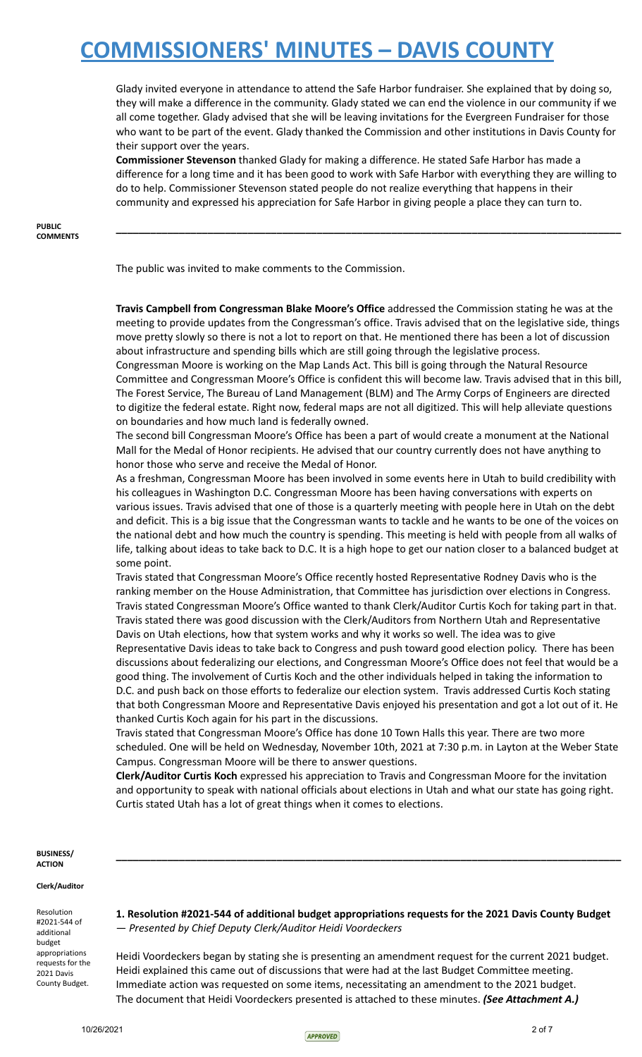Glady invited everyone in attendance to attend the Safe Harbor fundraiser. She explained that by doing so, they will make a difference in the community. Glady stated we can end the violence in our community if we all come together. Glady advised that she will be leaving invitations for the Evergreen Fundraiser for those who want to be part of the event. Glady thanked the Commission and other institutions in Davis County for their support over the years.

**Commissioner Stevenson** thanked Glady for making a difference. He stated Safe Harbor has made a difference for a long time and it has been good to work with Safe Harbor with everything they are willing to do to help. Commissioner Stevenson stated people do not realize everything that happens in their community and expressed his appreciation for Safe Harbor in giving people a place they can turn to.

**\_\_\_\_\_\_\_\_\_\_\_\_\_\_\_\_\_\_\_\_\_\_\_\_\_\_\_\_\_\_\_\_\_\_\_\_\_\_\_\_\_\_\_\_\_\_\_\_\_\_\_\_\_\_\_\_\_\_\_\_\_\_\_\_\_\_\_\_\_\_\_\_\_\_\_\_\_\_\_\_\_\_\_\_\_\_\_\_**

**PUBLIC COMMENTS**

The public was invited to make comments to the Commission.

**Travis Campbell from Congressman Blake Moore's Office** addressed the Commission stating he was at the meeting to provide updates from the Congressman's office. Travis advised that on the legislative side, things move pretty slowly so there is not a lot to report on that. He mentioned there has been a lot of discussion about infrastructure and spending bills which are still going through the legislative process.

Congressman Moore is working on the Map Lands Act. This bill is going through the Natural Resource Committee and Congressman Moore's Office is confident this will become law. Travis advised that in this bill, The Forest Service, The Bureau of Land Management (BLM) and The Army Corps of Engineers are directed to digitize the federal estate. Right now, federal maps are not all digitized. This will help alleviate questions on boundaries and how much land is federally owned.

The second bill Congressman Moore's Office has been a part of would create a monument at the National Mall for the Medal of Honor recipients. He advised that our country currently does not have anything to honor those who serve and receive the Medal of Honor.

As a freshman, Congressman Moore has been involved in some events here in Utah to build credibility with his colleagues in Washington D.C. Congressman Moore has been having conversations with experts on various issues. Travis advised that one of those is a quarterly meeting with people here in Utah on the debt and deficit. This is a big issue that the Congressman wants to tackle and he wants to be one of the voices on the national debt and how much the country is spending. This meeting is held with people from all walks of life, talking about ideas to take back to D.C. It is a high hope to get our nation closer to a balanced budget at some point.

Travis stated that Congressman Moore's Office recently hosted Representative Rodney Davis who is the ranking member on the House Administration, that Committee has jurisdiction over elections in Congress. Travis stated Congressman Moore's Office wanted to thank Clerk/Auditor Curtis Koch for taking part in that. Travis stated there was good discussion with the Clerk/Auditors from Northern Utah and Representative Davis on Utah elections, how that system works and why it works so well. The idea was to give

Representative Davis ideas to take back to Congress and push toward good election policy. There has been discussions about federalizing our elections, and Congressman Moore's Office does not feel that would be a good thing. The involvement of Curtis Koch and the other individuals helped in taking the information to D.C. and push back on those efforts to federalize our election system. Travis addressed Curtis Koch stating that both Congressman Moore and Representative Davis enjoyed his presentation and got a lot out of it. He thanked Curtis Koch again for his part in the discussions.

Travis stated that Congressman Moore's Office has done 10 Town Halls this year. There are two more scheduled. One will be held on Wednesday, November 10th, 2021 at 7:30 p.m. in Layton at the Weber State Campus. Congressman Moore will be there to answer questions.

**Clerk/Auditor Curtis Koch** expressed his appreciation to Travis and Congressman Moore for the invitation and opportunity to speak with national officials about elections in Utah and what our state has going right. Curtis stated Utah has a lot of great things when it comes to elections.

### **BUSINESS/ ACTION**

### **Clerk/Auditor**

Resolution #2021-544 of additional budget appropriations requests for the 2021 Davis County Budget.

**1. Resolution #2021-544 of additional budget appropriations requests for the 2021 Davis County Budget** — *Presented by Chief Deputy Clerk/Auditor Heidi Voordeckers*

**\_\_\_\_\_\_\_\_\_\_\_\_\_\_\_\_\_\_\_\_\_\_\_\_\_\_\_\_\_\_\_\_\_\_\_\_\_\_\_\_\_\_\_\_\_\_\_\_\_\_\_\_\_\_\_\_\_\_\_\_\_\_\_\_\_\_\_\_\_\_\_\_\_\_\_\_\_\_\_\_\_\_\_\_\_\_\_\_**

Heidi Voordeckers began by stating she is presenting an amendment request for the current 2021 budget. Heidi explained this came out of discussions that were had at the last Budget Committee meeting. Immediate action was requested on some items, necessitating an amendment to the 2021 budget. The document that Heidi Voordeckers presented is attached to these minutes. *(See Attachment A.)*

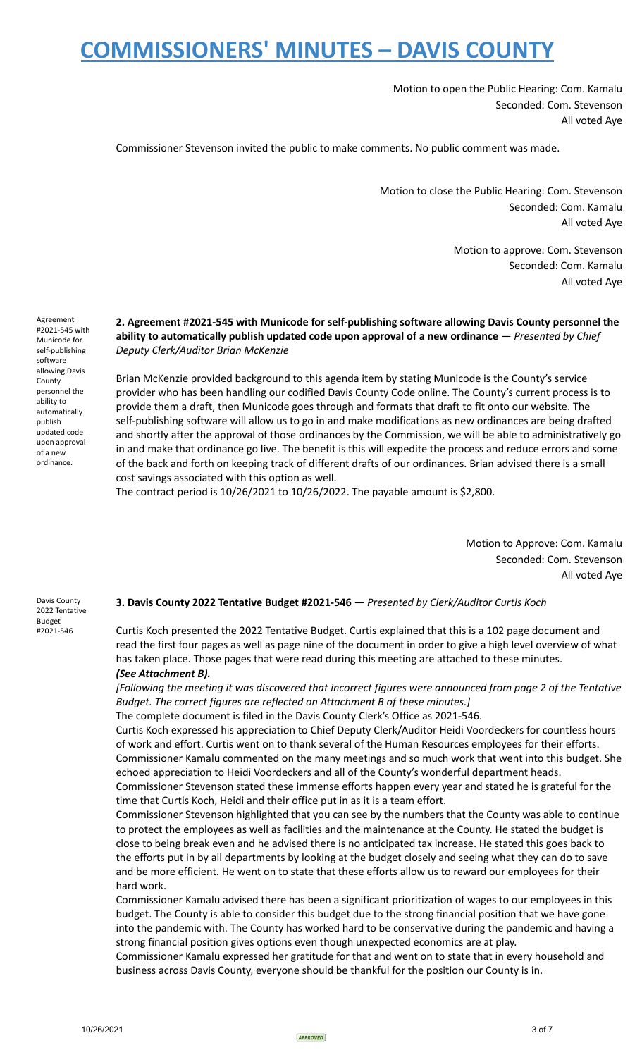Motion to open the Public Hearing: Com. Kamalu Seconded: Com. Stevenson All voted Aye

Commissioner Stevenson invited the public to make comments. No public comment was made.

Motion to close the Public Hearing: Com. Stevenson Seconded: Com. Kamalu All voted Aye

> Motion to approve: Com. Stevenson Seconded: Com. Kamalu All voted Aye

## **2. Agreement #2021-545 with Municode for self-publishing software allowing Davis County personnel the ability to automatically publish updated code upon approval of a new ordinance** — *Presented by Chief Deputy Clerk/Auditor Brian McKenzie*

Brian McKenzie provided background to this agenda item by stating Municode is the County's service provider who has been handling our codified Davis County Code online. The County's current process is to provide them a draft, then Municode goes through and formats that draft to fit onto our website. The self-publishing software will allow us to go in and make modifications as new ordinances are being drafted and shortly after the approval of those ordinances by the Commission, we will be able to administratively go in and make that ordinance go live. The benefit is this will expedite the process and reduce errors and some of the back and forth on keeping track of different drafts of our ordinances. Brian advised there is a small cost savings associated with this option as well.

The contract period is 10/26/2021 to 10/26/2022. The payable amount is \$2,800.

Motion to Approve: Com. Kamalu Seconded: Com. Stevenson All voted Aye

## **3. Davis County 2022 Tentative Budget #2021-546** — *Presented by Clerk/Auditor Curtis Koch*

Curtis Koch presented the 2022 Tentative Budget. Curtis explained that this is a 102 page document and read the first four pages as well as page nine of the document in order to give a high level overview of what has taken place. Those pages that were read during this meeting are attached to these minutes. *(See Attachment B).*

[Following the meeting it was discovered that incorrect figures were announced from page 2 of the Tentative *Budget. The correct figures are reflected on Attachment B of these minutes.]*

The complete document is filed in the Davis County Clerk's Office as 2021-546.

Curtis Koch expressed his appreciation to Chief Deputy Clerk/Auditor Heidi Voordeckers for countless hours of work and effort. Curtis went on to thank several of the Human Resources employees for their efforts. Commissioner Kamalu commented on the many meetings and so much work that went into this budget. She echoed appreciation to Heidi Voordeckers and all of the County's wonderful department heads. Commissioner Stevenson stated these immense efforts happen every year and stated he is grateful for the time that Curtis Koch, Heidi and their office put in as it is a team effort.

Commissioner Stevenson highlighted that you can see by the numbers that the County was able to continue to protect the employees as well as facilities and the maintenance at the County. He stated the budget is close to being break even and he advised there is no anticipated tax increase. He stated this goes back to the efforts put in by all departments by looking at the budget closely and seeing what they can do to save and be more efficient. He went on to state that these efforts allow us to reward our employees for their hard work.

Commissioner Kamalu advised there has been a significant prioritization of wages to our employees in this budget. The County is able to consider this budget due to the strong financial position that we have gone into the pandemic with. The County has worked hard to be conservative during the pandemic and having a strong financial position gives options even though unexpected economics are at play.

Commissioner Kamalu expressed her gratitude for that and went on to state that in every household and business across Davis County, everyone should be thankful for the position our County is in.

Agreement #2021-545 with Municode for self-publishing software allowing Davis County personnel the ability to automatically publish updated code upon approval of a new ordinance.

Davis County 2022 Tentative Budget #2021-546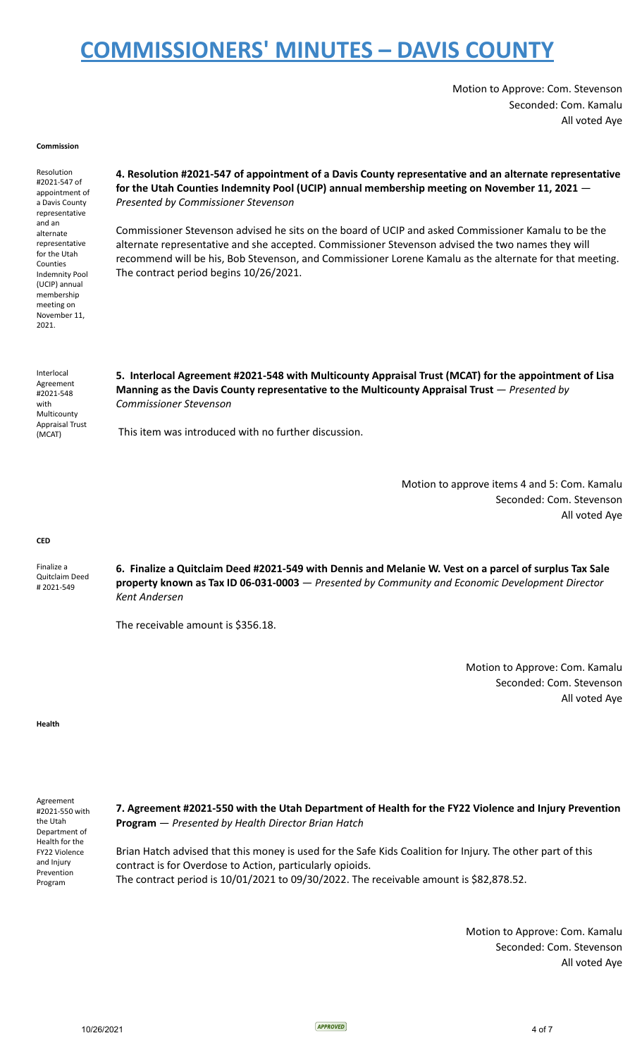Motion to Approve: Com. Stevenson Seconded: Com. Kamalu All voted Aye

#### **Commission**

Resolution #2021-547 of appointment of a Davis County representative and an alternate representative for the Utah Counties Indemnity Pool (UCIP) annual membership meeting on November 11, 2021.

**4. Resolution #2021-547 of appointment of a Davis County representative and an alternate representative for the Utah Counties Indemnity Pool (UCIP) annual membership meeting on November 11, 2021** — *Presented by Commissioner Stevenson*

Commissioner Stevenson advised he sits on the board of UCIP and asked Commissioner Kamalu to be the alternate representative and she accepted. Commissioner Stevenson advised the two names they will recommend will be his, Bob Stevenson, and Commissioner Lorene Kamalu as the alternate for that meeting. The contract period begins 10/26/2021.

| Interlocal<br>Agreement<br>#2021-548<br>with<br>Multicounty<br><b>Appraisal Trust</b><br>(MCAT) | 5. Interlocal Agreement #2021-548 with Multicounty Appraisal Trust (MCAT) for the appointment of Lisa<br>Manning as the Davis County representative to the Multicounty Appraisal Trust – Presented by<br>Commissioner Stevenson |
|-------------------------------------------------------------------------------------------------|---------------------------------------------------------------------------------------------------------------------------------------------------------------------------------------------------------------------------------|
|                                                                                                 | This item was introduced with no further discussion.                                                                                                                                                                            |

Motion to approve items 4 and 5: Com. Kamalu Seconded: Com. Stevenson All voted Aye

#### **CED**

Finalize a Quitclaim Deed # 2021-549 6. Finalize a Quitclaim Deed #2021-549 with Dennis and Melanie W. Vest on a parcel of surplus Tax Sale **property known as Tax ID 06-031-0003** — *Presented by Community and Economic Development Director Kent Andersen*

The receivable amount is \$356.18.

Motion to Approve: Com. Kamalu Seconded: Com. Stevenson All voted Aye

#### **Health**

Agreement #2021-550 with the Utah Department of Health for the FY22 Violence and Injury Prevention Program

**7. Agreement #2021-550 with the Utah Department of Health for the FY22 Violence and Injury Prevention Program** — *Presented by Health Director Brian Hatch*

Brian Hatch advised that this money is used for the Safe Kids Coalition for Injury. The other part of this contract is for Overdose to Action, particularly opioids. The contract period is 10/01/2021 to 09/30/2022. The receivable amount is \$82,878.52.

> Motion to Approve: Com. Kamalu Seconded: Com. Stevenson All voted Aye

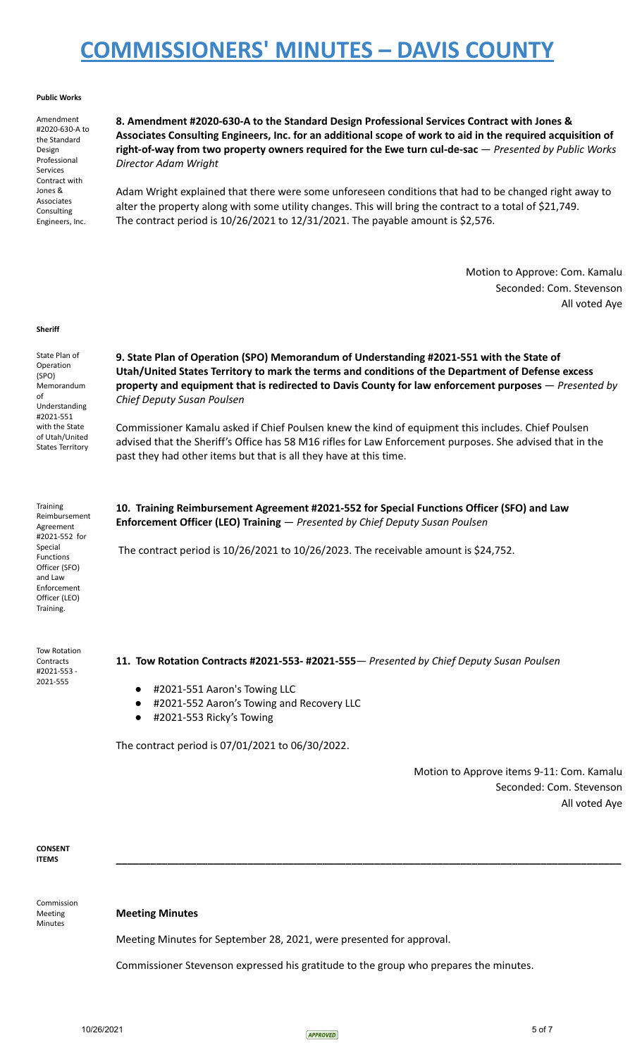### **Public Works**

Amendment #2020-630-A to the Standard Design Professional Services Contract with Jones & Associates Consulting Engineers, Inc.

**8. Amendment #2020-630-A to the Standard Design Professional Services Contract with Jones &** Associates Consulting Engineers, Inc. for an additional scope of work to aid in the required acquisition of **right-of-way from two property owners required for the Ewe turn cul-de-sac** — *Presented by Public Works Director Adam Wright*

Adam Wright explained that there were some unforeseen conditions that had to be changed right away to alter the property along with some utility changes. This will bring the contract to a total of \$21,749. The contract period is 10/26/2021 to 12/31/2021. The payable amount is \$2,576.

> Motion to Approve: Com. Kamalu Seconded: Com. Stevenson All voted Aye

#### **Sheriff**

State Plan of Operation (SPO) Memorandum of Understanding #2021-551 with the State of Utah/United States Territory

**9. State Plan of Operation (SPO) Memorandum of Understanding #2021-551 with the State of Utah/United States Territory to mark the terms and conditions of the Department of Defense excess property and equipment that is redirected to Davis County for law enforcement purposes** — *Presented by Chief Deputy Susan Poulsen*

Commissioner Kamalu asked if Chief Poulsen knew the kind of equipment this includes. Chief Poulsen advised that the Sheriff's Office has 58 M16 rifles for Law Enforcement purposes. She advised that in the past they had other items but that is all they have at this time.

Training Reimbursement Agreement #2021-552 for Special Functions Officer (SFO) and Law Enforcement Officer (LEO) Training.

Tow Rotation **Contracts** #2021-553 - 2021-555

**10. Training Reimbursement Agreement #2021-552 for Special Functions Officer (SFO) and Law Enforcement Officer (LEO) Training** — *Presented by Chief Deputy Susan Poulsen*

The contract period is 10/26/2021 to 10/26/2023. The receivable amount is \$24,752.

**11. Tow Rotation Contracts #2021-553- #2021-555**— *Presented by Chief Deputy Susan Poulsen*

- #2021-551 Aaron's Towing LLC
- #2021-552 Aaron's Towing and Recovery LLC
- #2021-553 Ricky's Towing

The contract period is 07/01/2021 to 06/30/2022.

Motion to Approve items 9-11: Com. Kamalu Seconded: Com. Stevenson All voted Aye

**CONSENT ITEMS \_\_\_\_\_\_\_\_\_\_\_\_\_\_\_\_\_\_\_\_\_\_\_\_\_\_\_\_\_\_\_\_\_\_\_\_\_\_\_\_\_\_\_\_\_\_\_\_\_\_\_\_\_\_\_\_\_\_\_\_\_\_\_\_\_\_\_\_\_\_\_\_\_\_\_\_\_\_\_\_\_\_\_\_\_\_\_\_**

Commission Meeting Minutes

## **Meeting Minutes**

Meeting Minutes for September 28, 2021, were presented for approval.

Commissioner Stevenson expressed his gratitude to the group who prepares the minutes.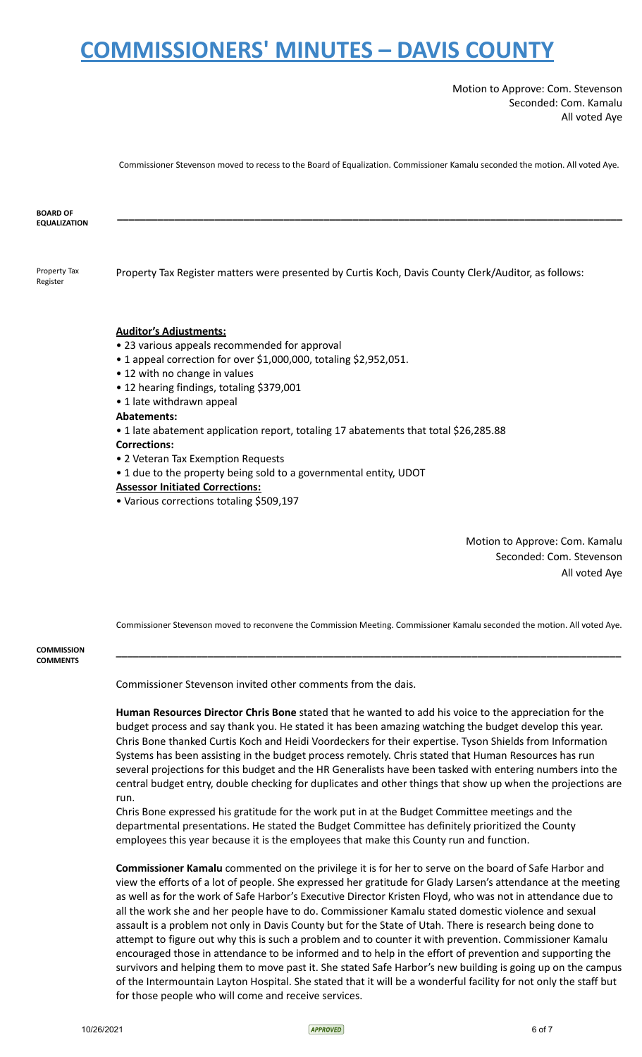Motion to Approve: Com. Stevenson Seconded: Com. Kamalu All voted Aye

Commissioner Stevenson moved to recess to the Board of Equalization. Commissioner Kamalu seconded the motion. All voted Aye.

**\_\_\_\_\_\_\_\_\_\_\_\_\_\_\_\_\_\_\_\_\_\_\_\_\_\_\_\_\_\_\_\_\_\_\_\_\_\_\_\_\_\_\_\_\_\_\_\_\_\_\_\_\_\_\_\_\_\_\_\_\_\_\_\_\_\_\_\_\_\_\_\_\_\_\_\_\_\_\_\_\_\_\_\_\_\_\_\_**

**BOARD OF EQUALIZATION**

Property Tax Register

Property Tax Register matters were presented by Curtis Koch, Davis County Clerk/Auditor, as follows:

### **Auditor's Adjustments:**

- 23 various appeals recommended for approval
- 1 appeal correction for over \$1,000,000, totaling \$2,952,051.
- 12 with no change in values
- 12 hearing findings, totaling \$379,001
- 1 late withdrawn appeal

### **Abatements:**

- 1 late abatement application report, totaling 17 abatements that total \$26,285.88 **Corrections:**
- 2 Veteran Tax Exemption Requests
- 1 due to the property being sold to a governmental entity, UDOT

### **Assessor Initiated Corrections:**

• Various corrections totaling \$509,197

Motion to Approve: Com. Kamalu Seconded: Com. Stevenson All voted Aye

Commissioner Stevenson moved to reconvene the Commission Meeting. Commissioner Kamalu seconded the motion. All voted Aye.

**\_\_\_\_\_\_\_\_\_\_\_\_\_\_\_\_\_\_\_\_\_\_\_\_\_\_\_\_\_\_\_\_\_\_\_\_\_\_\_\_\_\_\_\_\_\_\_\_\_\_\_\_\_\_\_\_\_\_\_\_\_\_\_\_\_\_\_\_\_\_\_\_\_\_\_\_\_\_\_\_\_\_\_\_\_\_\_\_**

**COMMISSION COMMENTS**

Commissioner Stevenson invited other comments from the dais.

**Human Resources Director Chris Bone** stated that he wanted to add his voice to the appreciation for the budget process and say thank you. He stated it has been amazing watching the budget develop this year. Chris Bone thanked Curtis Koch and Heidi Voordeckers for their expertise. Tyson Shields from Information Systems has been assisting in the budget process remotely. Chris stated that Human Resources has run several projections for this budget and the HR Generalists have been tasked with entering numbers into the central budget entry, double checking for duplicates and other things that show up when the projections are run.

Chris Bone expressed his gratitude for the work put in at the Budget Committee meetings and the departmental presentations. He stated the Budget Committee has definitely prioritized the County employees this year because it is the employees that make this County run and function.

**Commissioner Kamalu** commented on the privilege it is for her to serve on the board of Safe Harbor and view the efforts of a lot of people. She expressed her gratitude for Glady Larsen's attendance at the meeting as well as for the work of Safe Harbor's Executive Director Kristen Floyd, who was not in attendance due to all the work she and her people have to do. Commissioner Kamalu stated domestic violence and sexual assault is a problem not only in Davis County but for the State of Utah. There is research being done to attempt to figure out why this is such a problem and to counter it with prevention. Commissioner Kamalu encouraged those in attendance to be informed and to help in the effort of prevention and supporting the survivors and helping them to move past it. She stated Safe Harbor's new building is going up on the campus of the Intermountain Layton Hospital. She stated that it will be a wonderful facility for not only the staff but for those people who will come and receive services.